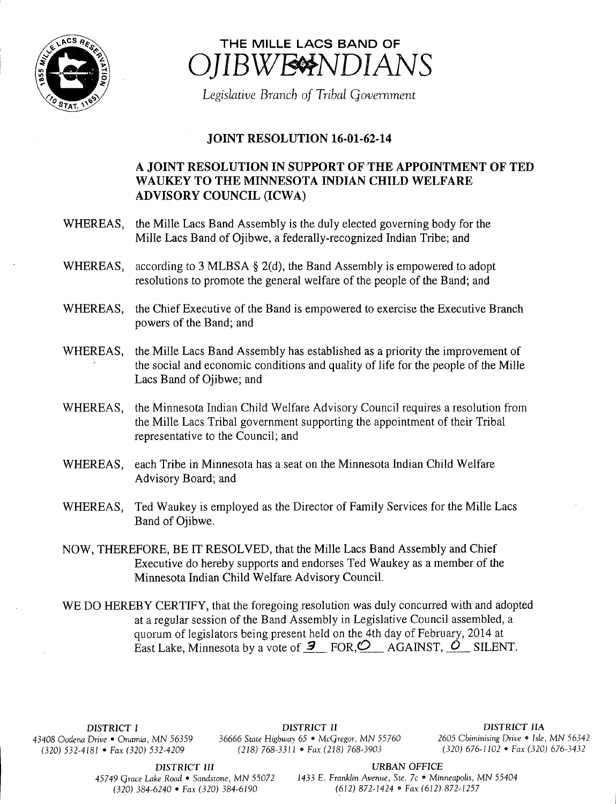

## THE MILLE LACS BAND OF IBWE<sup>NDIANS</sup>

Legislative Branch of Tribal Government

## JOINT RESOLUTION 16-01-62-14

## A JOINT RESOLUTION IN SUPPORT OF THE APPOINTMENT OF TED WAUKEY TO THE MINNESOTA INDIAN CHILD WELFARE ADVISORY COUNCIL (ICWA)

- WHEREAS, the Mille Lacs Band Assembly is the duly elected governing body for the Mille Lacs Band of Ojibwe, a federally-recognized Indian Tribe; and
- WHEREAS, according to 3 MLBSA  $\S$  2(d), the Band Assembly is empowered to adopt resolutions to promote the general welfare of the people of the Band; and
- WHEREAS, the Chief Executive of the Band is empowered to exercise the Executive Branch powers of the Band; and
- WHEREAS, the Mille Lacs Band Assembly has established as <sup>a</sup> priority the improvement of the social and economic conditions and quality of life for the people of the Mille Lacs Band of Ojibwe; and
- WHEREAS, the Minnesota Indian Child Welfare Advisory Council requires <sup>a</sup> resolution from the Mille Lacs Tribal government supporting the appointment of their Tribal representative to the Council; and
- WHEREAS, each Tribe in Minnesota has <sup>a</sup> seat on the Minnesota Indian Child Welfare Advisory Board; and
- WHEREAS, Ted Waukey is employed as the Director of Family Services for the Mille Lacs Band of Ojibwe.
- NOW, THEREFORE, BE IT RESOLVED, that the Mille Lacs Band Assembly and Chief Executive do hereby supports and endorses Ted Waukey as <sup>a</sup> member of the Minnesota Indian Child Welfare Advisory Council.
- WE DO HEREBY CERTIFY, that the foregoing resolution was duly concurred with and adopted at <sup>a</sup> regular session of the Band Assembly in Legislative Council assembled, a quorum of legislators being present held on the 4th day of February, 2014 at East Lake, Minnesota by a vote of  $\overline{9}$  FOR,  $\overline{2}$  AGAINST,  $\overline{O}$  SILENT.

DISTRICT I DISTRICT II DISTRICT II DISTRICT II DISTRICT IIA 43408 Oodena Drive • Onamia, MN 56359 36666 State Highway 65 • McGregor, MN 55760 2605 Chiminising Drive • Isle, MN 56342<br>(320) 32-4181 • Fax (320) 532-4209 (218) 768-3311 • Fax (218) 768-3903 (320) 676-1102 • Fax (320) 6 (320) 532-4181 • Fax(320) 532-4209 (218) 768-3311 • Fax(218) 768-3903

DISTRICT III URBAN OFFICE

45749 Grace Lake Road • Sandstone, MN 55072 1433 E. Franklin Avenue, Ste. 7c • Minneapolis, MN 55404 320) 384- 6240 • Fax( 320) 384- 6190 612) 872- 1424 • Fax( 612) 872- 1257